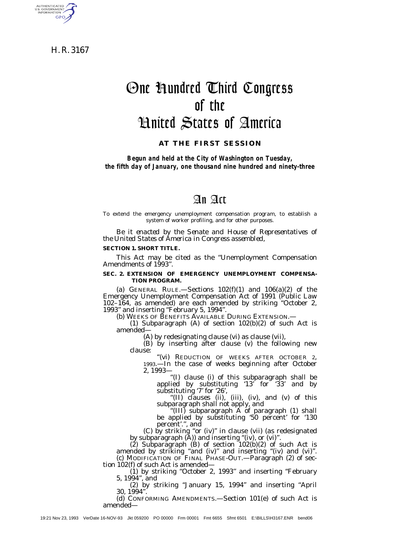H. R. 3167

AUTHENTICATED GPO

# One Hundred Third Congress of the United States of America

**AT THE FIRST SESSION**

*Begun and held at the City of Washington on Tuesday, the fifth day of January, one thousand nine hundred and ninety-three*

# An Act

To extend the emergency unemployment compensation program, to establish a system of worker profiling, and for other purposes.

*Be it enacted by the Senate and House of Representatives of the United States of America in Congress assembled,*

#### **SECTION 1. SHORT TITLE.**

This Act may be cited as the ''Unemployment Compensation Amendments of 1993''.

#### **SEC. 2. EXTENSION OF EMERGENCY UNEMPLOYMENT COMPENSA-TION PROGRAM.**

(a) GENERAL RULE.—Sections  $102(f)(1)$  and  $106(a)(2)$  of the Emergency Unemployment Compensation Act of 1991 (Public Law 102–164, as amended) are each amended by striking ''October 2,

(b) WEEKS OF BENEFITS AVAILABLE DURING EXTENSION.—<br>(1) Subparagraph (A) of section 102(b)(2) of such Act is amended—

(A) by redesignating clause (vi) as clause (vii),

(B) by inserting after clause (v) the following new clause:

''(vi) REDUCTION OF WEEKS AFTER OCTOBER 2, 1993.—In the case of weeks beginning after October 2, 1993—

''(I) clause (i) of this subparagraph shall be applied by substituting '13' for '33' and by

substituting '7' for '26', ''(II) clauses (ii), (iii), (iv), and (v) of this subparagraph shall not apply, and ''(III) subparagraph A of paragraph (1) shall

"(III) subparagraph A of paragraph (1) shall<br>be applied by substituting '50 percent' for '130 percent'.'', and

(C) by striking ''or (iv)'' in clause (vii) (as redesignated by subparagraph (A)) and inserting ''(iv), or (vi)''.

 $(2)$  Subparagraph  $(B)$  of section  $102(b)(2)$  of such Act is amended by striking ''and (iv)'' and inserting ''(iv) and (vi)''. (c) MODIFICATION OF FINAL PHASE-OUT.—Paragraph (2) of sec-

tion 102(f) of such Act is amended— (1) by striking ''October 2, 1993'' and inserting ''February 5, 1994'', and

(2) by striking ''January 15, 1994'' and inserting ''April 30, 1994''.

(d) CONFORMING AMENDMENTS.—Section 101(e) of such Act is amended—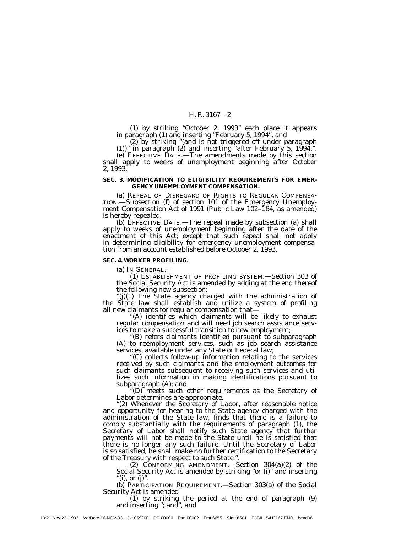(1) by striking ''October 2, 1993'' each place it appears in paragraph (1) and inserting ''February 5, 1994'', and

(2) by striking ''(and is not triggered off under paragraph (1))'' in paragraph (2) and inserting ''after February 5, 1994,''.

(e) EFFECTIVE DATE.—The amendments made by this section shall apply to weeks of unemployment beginning after October 2, 1993.

#### **SEC. 3. MODIFICATION TO ELIGIBILITY REQUIREMENTS FOR EMER-GENCY UNEMPLOYMENT COMPENSATION.**

(a) REPEAL OF DISREGARD OF RIGHTS TO REGULAR COMPENSA-TION.—Subsection (f) of section 101 of the Emergency Unemployment Compensation Act of 1991 (Public Law 102–164, as amended) is hereby repealed.

(b) EFFECTIVE DATE.—The repeal made by subsection (a) shall apply to weeks of unemployment beginning after the date of the enactment of this Act; except that such repeal shall not apply in determining eligibility for emergency unemployment compensation from an account established before October 2, 1993.

#### **SEC. 4. WORKER PROFILING.**

(a) IN GENERAL.—

(1) ESTABLISHMENT OF PROFILING SYSTEM.—Section 303 of the Social Security Act is amended by adding at the end thereof the following new subsection:

''(j)(1) The State agency charged with the administration of the State law shall establish and utilize a system of profiling

'(A) identifies which claimants will be likely to exhaust regular compensation and will need job search assistance serv-<br>ices to make a successful transition to new employment;

"(B) refers claimants identified pursuant to subparagraph (A) to reemployment services, such as job search assistance services, available under any State or Federal law;

"(C) collects follow-up information relating to the services received by such claimants and the employment outcomes for such claimants subsequent to receiving such services and utilizes such information in making identifications pursuant to

"(D) meets such other requirements as the Secretary of Labor determines are appropriate.

"(2) Whenever the Secretary of Labor, after reasonable notice and opportunity for hearing to the State agency charged with the administration of the State law, finds that there is a failure to comply substantially with the requirements of paragraph (1), the Secretary of Labor shall notify such State agency that further payments will not be made to the State until he is satisfied that there is no longer any such failure. Until the Secretary of Labor is so satisfied, he shall make no further certification to the Secretary of the Treasury with respect to such State.''.

(2) CONFORMING AMENDMENT.—Section 304(a)(2) of the Social Security Act is amended by striking ''or (i)'' and inserting "(i), or  $(j)$ ".

(b) PARTICIPATION REQUIREMENT.—Section 303(a) of the Social Security Act is amended—

(1) by striking the period at the end of paragraph (9) and inserting ''; and'', and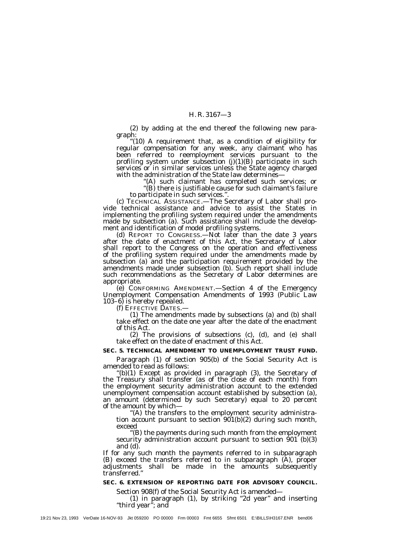(2) by adding at the end thereof the following new paragraph:<br>"(10) A requirement that, as a condition of eligibility for regular compensation for any week, any claimant who has

been referred to reemployment services pursuant to the profiling system under subsection  $(j)(1)(B)$  participate in such services or in similar services unless the State agency charged with the administration of the State law determines—

"(A) such claimant has completed such services; or "(B) there is justifiable cause for such claimant's failure

to participate in such services.".<br>(c) TECHNICAL ASSISTANCE.—The Secretary of Labor shall pro-<br>vide technical assistance and advice to assist the States in implementing the profiling system required under the amendments made by subsection (a). Such assistance shall include the development and identification of model profiling systems.

ment and identification of model profiling systems. (d) REPORT TO CONGRESS.—Not later than the date 3 years after the date of enactment of this Act, the Secretary of Labor shall report to the Congress on the operation and effectiveness of the profiling system required under the amendments made by subsection (a) and the participation requirement provided by the amendments made under subsection (b). Such report shall include such recommendations as the Secretary of Labor determines are

appropriate. (e) CONFORMING AMENDMENT.—Section 4 of the Emergency Unemployment Compensation Amendments of 1993 (Public Law

103–6) is hereby repealed. (f) EFFECTIVE DATES.— (1) The amendments made by subsections (a) and (b) shall take effect on the date one year after the date of the enactment of this Act.

(2) The provisions of subsections (c), (d), and (e) shall take effect on the date of enactment of this Act.

#### **SEC. 5. TECHNICAL AMENDMENT TO UNEMPLOYMENT TRUST FUND.**

Paragraph (1) of section 905(b) of the Social Security Act is amended to read as follows:

''(b)(1) Except as provided in paragraph (3), the Secretary of the Treasury shall transfer (as of the close of each month) from the employment security administration account to the extended unemployment compensation account established by subsection (a), an amount (determined by such Secretary) equal to 20 percent

of the amount by which—<br>"(A) the transfers to the employment security administra-<br>tion account pursuant to section 901(b)(2) during such month, exceed<br>"(B) the payments during such month from the employment"

security administration account pursuant to section  $901$  (b)(3) and (d).

If for any such month the payments referred to in subparagraph (B) exceed the transfers referred to in subparagraph (A), proper adjustments shall be made in the amounts subsequently transferred.''

#### **SEC. 6. EXTENSION OF REPORTING DATE FOR ADVISORY COUNCIL.**

Section 908(f) of the Social Security Act is amended—

(1) in paragraph (1), by striking ''2d year'' and inserting ''third year''; and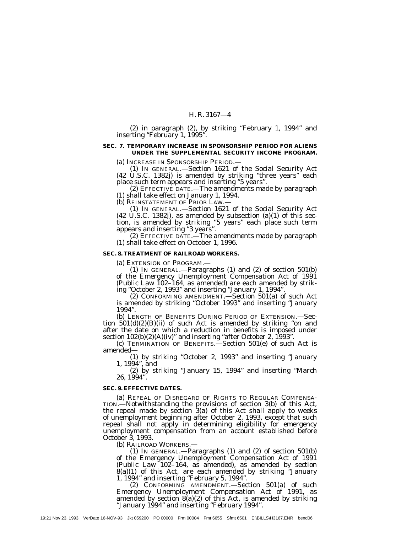(2) in paragraph (2), by striking ''February 1, 1994'' and inserting "February 1, 1995".

# **SEC. 7. TEMPORARY INCREASE IN SPONSORSHIP PERIOD FOR ALIENS UNDER THE SUPPLEMENTAL SECURITY INCOME PROGRAM.**

(a) INCREASE IN SPONSORSHIP PERIOD.—

(1) IN GENERAL.—Section 1621 of the Social Security Act (42 U.S.C. 1382j) is amended by striking ''three years'' each place such term appears and inserting ''5 years''.

(2) EFFECTIVE DATE.—The amendments made by paragraph (1) shall take effect on January 1, 1994.

(b) REINSTATEMENT OF PRIOR LAW.—

(1) IN GENERAL.—Section 1621 of the Social Security Act (42 U.S.C. 1382j), as amended by subsection (a)(1) of this section, is amended by striking ''5 years'' each place such term appears and inserting ''3 years''.

(2) EFFECTIVE DATE.—The amendments made by paragraph (1) shall take effect on October 1, 1996.

#### **SEC. 8. TREATMENT OF RAILROAD WORKERS.**

(a) EXTENSION OF PROGRAM.—

(1) IN GENERAL.—Paragraphs (1) and (2) of section 501(b) of the Emergency Unemployment Compensation Act of 1991 (Public Law 102–164, as amended) are each amended by striking ''October 2, 1993'' and inserting ''January 1, 1994''.

(2) CONFORMING AMENDMENT.—Section 501(a) of such Act is amended by striking ''October 1993'' and inserting ''January 1994''.

(b) LENGTH OF BENEFITS DURING PERIOD OF EXTENSION.—Section  $501(d)(2)(B)(ii)$  of such Act is amended by striking "on and after the date on which a reduction in benefits is imposed under section  $102(b)(2)(A)(iv)$ " and inserting "after October 2, 1993".<br>
(c) TERMINATION OF BENEFITS.—Section 501(e) of such Act is

amended—

(1) by striking ''October 2, 1993'' and inserting ''January 1, 1994'', and

(2) by striking ''January 15, 1994'' and inserting ''March 26, 1994''.

#### **SEC. 9. EFFECTIVE DATES.**

(a) REPEAL OF DISREGARD OF RIGHTS TO REGULAR COMPENSA- TION.—Notwithstanding the provisions of section 3(b) of this Act, the repeal made by section 3(a) of this Act shall apply to weeks of unemployment beginning after October 2, 1993, except that such repeal shall not apply in determining eligibility for emergency unemployment compensation from an account established before October 3, 1993.

(b) RAILROAD WORKERS.—

(1) IN GENERAL.—Paragraphs (1) and (2) of section 501(b) of the Emergency Unemployment Compensation Act of 1991 (Public Law 102–164, as amended), as amended by section  $8(a)(1)$  of this Act, are each amended by striking "January 1, 1994'' and inserting ''February 5, 1994''.

(2) CONFORMING AMENDMENT.—Section 501(a) of such Emergency Unemployment Compensation Act of 1991, as amended by section  $\mathcal{S}(a)(2)$  of this Act, is amended by striking ''January 1994'' and inserting ''February 1994''.